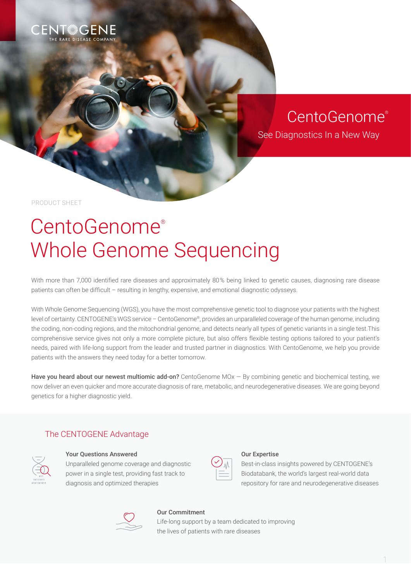

# CentoGenome®

See Diagnostics In a New Way

PRODUCT SHEET

# CentoGenome® Whole Genome Sequencing

With more than 7,000 identified rare diseases and approximately 80% being linked to genetic causes, diagnosing rare disease patients can often be difficult – resulting in lengthy, expensive, and emotional diagnostic odysseys.

With Whole Genome Sequencing (WGS), you have the most comprehensive genetic tool to diagnose your patients with the highest level of certainty. CENTOGENE's WGS service – CentoGenome®, provides an unparalleled coverage of the human genome, including the coding, non-coding regions, and the mitochondrial genome, and detects nearly all types of genetic variants in a single test.This comprehensive service gives not only a more complete picture, but also offers flexible testing options tailored to your patient's needs, paired with life-long support from the leader and trusted partner in diagnostics. With CentoGenome, we help you provide patients with the answers they need today for a better tomorrow.

Have you heard about our newest multiomic add-on? CentoGenome  $MOX - By$  combining genetic and biochemical testing, we now deliver an even quicker and more accurate diagnosis of rare, metabolic, and neurodegenerative diseases. We are going beyond genetics for a higher diagnostic yield.

### The CENTOGENE Advantage



#### Your Questions Answered

Unparalleled genome coverage and diagnostic power in a single test, providing fast track to diagnosis and optimized therapies

#### Our Expertise

Best-in-class insights powered by CENTOGENE's Biodatabank, the world's largest real-world data repository for rare and neurodegenerative diseases



#### Our Commitment

Life-long support by a team dedicated to improving the lives of patients with rare diseases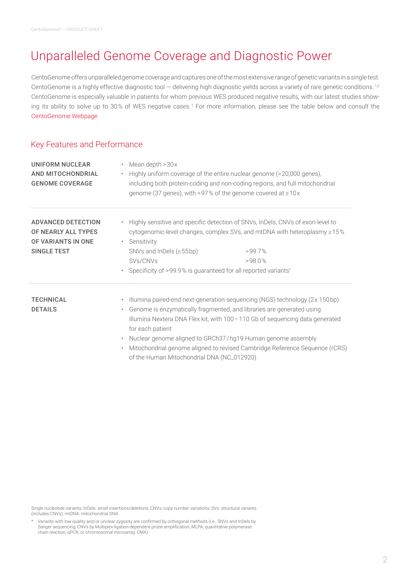## Unparalleled Genome Coverage and Diagnostic Power

CentoGenome offers unparalleled genome coverage and captures one of the most extensive range of genetic variants in a single test. CentoGenome is a highly effective diagnostic tool — delivering high diagnostic yields across a variety of rare genetic conditions.<sup>1,2</sup> CentoGenome is especially valuable in patients for whom previous WES produced negative results, with our latest studies showing its ability to solve up to 30 % of WES negative cases. 1 For more information, please see the table below and consult the [CentoGenome Webpage](http://link.centogene.com/genome-sequencing).

### Key Features and Performance

| UNIFORM NUCLEAR<br>AND MITOCHONDRIAL<br><b>GENOME COVERAGE</b>                               | Mean depth $>30x$                                                                                                                         | Highly uniform coverage of the entire nuclear genome (>20,000 genes),<br>including both protein-coding and non-coding regions, and full mitochondrial<br>genome (37 genes), with >97% of the genome covered at $\geq 10x$                                                                                                                                                           |  |
|----------------------------------------------------------------------------------------------|-------------------------------------------------------------------------------------------------------------------------------------------|-------------------------------------------------------------------------------------------------------------------------------------------------------------------------------------------------------------------------------------------------------------------------------------------------------------------------------------------------------------------------------------|--|
| <b>ADVANCED DETECTION</b><br>OF NEARLY ALL TYPES<br>OF VARIANTS IN ONE<br><b>SINGLE TEST</b> | Sensitivity<br>$\bullet$ .<br>SNVs and InDels $(\leq 55bp)$<br>SVs/CNVs<br>Specificity of >99.9% is guaranteed for all reported variants* | Highly sensitive and specific detection of SNVs, InDels, CNVs of exon-level to<br>cytogenomic-level changes, complex SVs, and mtDNA with heteroplasmy $\geq 15\%$<br>>997%<br>>98.0%                                                                                                                                                                                                |  |
| <b>TECHNICAL</b><br><b>DETAILS</b>                                                           | for each patient                                                                                                                          | Illumina paired-end next-generation sequencing (NGS) technology (2x 150 bp)<br>Genome is enzymatically fragmented, and libraries are generated using<br>Illumina Nextera DNA Flex kit, with 100 - 110 Gb of sequencing data generated<br>Nuclear genome aligned to GRCh37/hg19 Human genome assembly<br>Mitochondrial genome aligned to revised Cambridge Reference Sequence (rCRS) |  |

of the Human Mitochondrial DNA (NC\_012920)

Single nucleotide variants; InDels: small insertions/deletions; CNVs: copy number variations; SVs: structural variants (includes CNVs); mtDNA: mitochondrial DNA

\* Variants with low quality and/or unclear zygosity are confirmed by orthogonal methods (i.e., SNVs and InDels by Sanger sequencing; CNVs by Multiplex ligation-dependent probe amplification, MLPA; quantitative polymerase chain reaction, qPCR; or chromosomal microarray, CMA)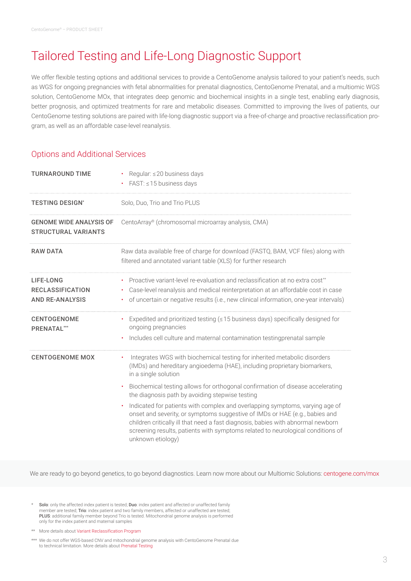# Tailored Testing and Life-Long Diagnostic Support

We offer flexible testing options and additional services to provide a CentoGenome analysis tailored to your patient's needs, such as WGS for ongoing pregnancies with fetal abnormalities for prenatal diagnostics, CentoGenome Prenatal, and a multiomic WGS solution, CentoGenome MOx, that integrates deep genomic and biochemical insights in a single test, enabling early diagnosis, better prognosis, and optimized treatments for rare and metabolic diseases. Committed to improving the lives of patients, our CentoGenome testing solutions are paired with life-long diagnostic support via a free-of-charge and proactive reclassification program, as well as an affordable case-level reanalysis.

### Options and Additional Services

| <b>TURNAROUND TIME</b>                                         | Regular: ≤20 business days<br>FAST: ≤15 business days                                                                                                                                                                                                                                                                                                                |  |
|----------------------------------------------------------------|----------------------------------------------------------------------------------------------------------------------------------------------------------------------------------------------------------------------------------------------------------------------------------------------------------------------------------------------------------------------|--|
| <b>TESTING DESIGN*</b>                                         | Solo, Duo, Trio and Trio PLUS                                                                                                                                                                                                                                                                                                                                        |  |
| <b>GENOME WIDE ANALYSIS OF</b><br><b>STRUCTURAL VARIANTS</b>   | CentoArray® (chromosomal microarray analysis, CMA)                                                                                                                                                                                                                                                                                                                   |  |
| <b>RAW DATA</b>                                                | Raw data available free of charge for download (FASTQ, BAM, VCF files) along with<br>filtered and annotated variant table (XLS) for further research                                                                                                                                                                                                                 |  |
| LIFE-LONG<br><b>RECLASSIFICATION</b><br><b>AND RE-ANALYSIS</b> | Proactive variant-level re-evaluation and reclassification at no extra cost**<br>Case-level reanalysis and medical reinterpretation at an affordable cost in case<br>٠<br>of uncertain or negative results (i.e., new clinical information, one-year intervals)                                                                                                      |  |
| <b>CENTOGENOME</b><br><b>PRENATAL**</b>                        | • Expedited and prioritized testing (≤15 business days) specifically designed for<br>ongoing pregnancies<br>Includes cell culture and maternal contamination testing prenatal sample                                                                                                                                                                                 |  |
| <b>CENTOGENOME MOX</b>                                         | Integrates WGS with biochemical testing for inherited metabolic disorders<br>(IMDs) and hereditary angioedema (HAE), including proprietary biomarkers,<br>in a single solution                                                                                                                                                                                       |  |
|                                                                | Biochemical testing allows for orthogonal confirmation of disease accelerating<br>$\bullet$<br>the diagnosis path by avoiding stepwise testing                                                                                                                                                                                                                       |  |
|                                                                | Indicated for patients with complex and overlapping symptoms, varying age of<br>$\bullet$<br>onset and severity, or symptoms suggestive of IMDs or HAE (e.g., babies and<br>children critically ill that need a fast diagnosis, babies with abnormal newborn<br>screening results, patients with symptoms related to neurological conditions of<br>unknown etiology) |  |

We are ready to go beyond genetics, to go beyond diagnostics. Learn now more about our Multiomic Solutions: [centogene.com/mox](http://centogene.com/mox)

Solo: only the affected index patient is tested; Duo: index patient and affected or unaffected family member are tested; Trio: index patient and two family members, affected or unaffected are tested; PLUS: additional family member beyond Trio is tested. Mitochondrial genome analysis is performed only for the index patient and maternal samples

\*\*\* We do not offer WGS-based CNV and mitochondrial genome analysis with CentoGenome Prenatal due to technical limitation. More details about [Prenatal Testing](https://www.centogene.com/diagnostics/our-tests/prenatal-testing)

More details about [Variant Reclassification Program](https://www.centogene.com/diagnostics/benefits-of-genetic-testing/variant-reclassification-program)